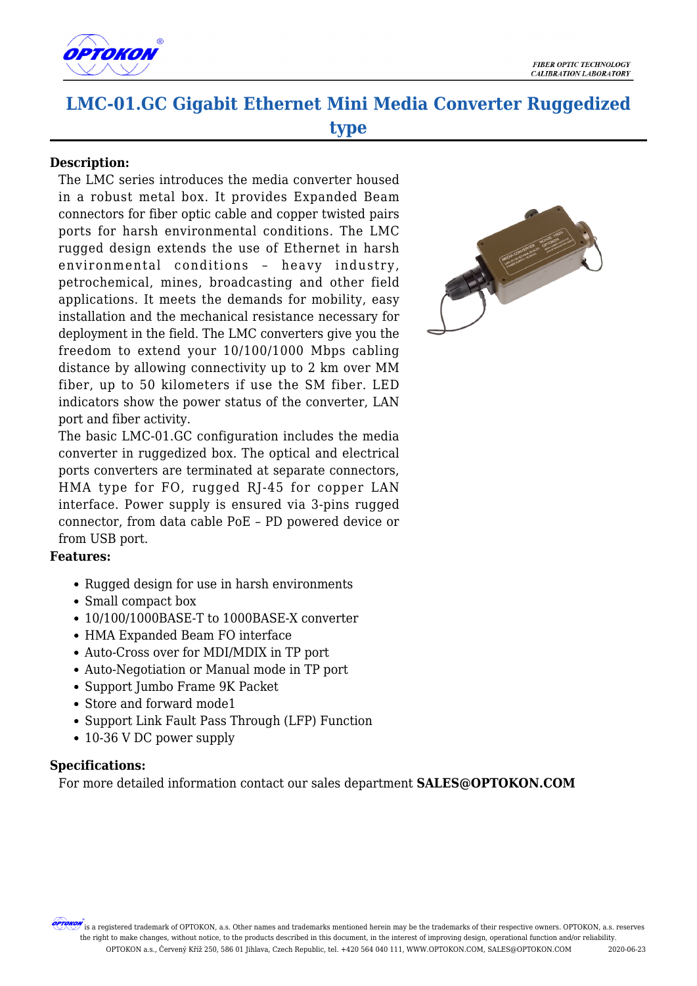

## **LMC-01.GC Gigabit Ethernet Mini Media Converter Ruggedized type**

## **Description:**

The LMC series introduces the media converter housed in a robust metal box. It provides Expanded Beam connectors for fiber optic cable and copper twisted pairs ports for harsh environmental conditions. The LMC rugged design extends the use of Ethernet in harsh environmental conditions – heavy industry, petrochemical, mines, broadcasting and other field applications. It meets the demands for mobility, easy installation and the mechanical resistance necessary for deployment in the field. The LMC converters give you the freedom to extend your 10/100/1000 Mbps cabling distance by allowing connectivity up to 2 km over MM fiber, up to 50 kilometers if use the SM fiber. LED indicators show the power status of the converter, LAN port and fiber activity.

The basic LMC-01.GC configuration includes the media converter in ruggedized box. The optical and electrical ports converters are terminated at separate connectors, HMA type for FO, rugged RJ-45 for copper LAN interface. Power supply is ensured via 3-pins rugged connector, from data cable PoE – PD powered device or from USB port.

## **Features:**

- Rugged design for use in harsh environments
- Small compact box
- 10/100/1000BASE-T to 1000BASE-X converter
- HMA Expanded Beam FO interface
- Auto-Cross over for MDI/MDIX in TP port
- Auto-Negotiation or Manual mode in TP port
- Support Jumbo Frame 9K Packet
- Store and forward mode1
- Support Link Fault Pass Through (LFP) Function
- 10-36 V DC power supply

## **Specifications:**

For more detailed information contact our sales department **SALES@OPTOKON.COM**